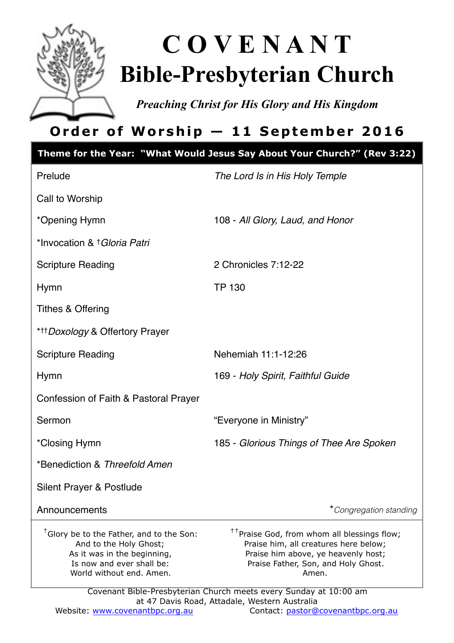

# **C O V E N A N T Bible-Presbyterian Church**

*Preaching Christ for His Glory and His Kingdom* 

# **Order of Worship — 11 September 2016**

|                                                                                                                                                                        | Theme for the Year: "What Would Jesus Say About Your Church?" (Rev 3:22)                                                                                                                                                                                     |
|------------------------------------------------------------------------------------------------------------------------------------------------------------------------|--------------------------------------------------------------------------------------------------------------------------------------------------------------------------------------------------------------------------------------------------------------|
| Prelude                                                                                                                                                                | The Lord Is in His Holy Temple                                                                                                                                                                                                                               |
| Call to Worship                                                                                                                                                        |                                                                                                                                                                                                                                                              |
| *Opening Hymn                                                                                                                                                          | 108 - All Glory, Laud, and Honor                                                                                                                                                                                                                             |
| *Invocation & † Gloria Patri                                                                                                                                           |                                                                                                                                                                                                                                                              |
| <b>Scripture Reading</b>                                                                                                                                               | 2 Chronicles 7:12-22                                                                                                                                                                                                                                         |
| Hymn                                                                                                                                                                   | <b>TP 130</b>                                                                                                                                                                                                                                                |
| <b>Tithes &amp; Offering</b>                                                                                                                                           |                                                                                                                                                                                                                                                              |
| * <sup>++</sup> Doxology & Offertory Prayer                                                                                                                            |                                                                                                                                                                                                                                                              |
| <b>Scripture Reading</b>                                                                                                                                               | Nehemiah 11:1-12:26                                                                                                                                                                                                                                          |
| Hymn                                                                                                                                                                   | 169 - Holy Spirit, Faithful Guide                                                                                                                                                                                                                            |
| Confession of Faith & Pastoral Prayer                                                                                                                                  |                                                                                                                                                                                                                                                              |
| Sermon                                                                                                                                                                 | "Everyone in Ministry"                                                                                                                                                                                                                                       |
| *Closing Hymn                                                                                                                                                          | 185 - Glorious Things of Thee Are Spoken                                                                                                                                                                                                                     |
| *Benediction & Threefold Amen                                                                                                                                          |                                                                                                                                                                                                                                                              |
| Silent Prayer & Postlude                                                                                                                                               |                                                                                                                                                                                                                                                              |
| Announcements                                                                                                                                                          | *Congregation standing                                                                                                                                                                                                                                       |
| <sup>†</sup> Glory be to the Father, and to the Son:<br>And to the Holy Ghost;<br>As it was in the beginning,<br>Is now and ever shall be:<br>World without end. Amen. | <sup>††</sup> Praise God, from whom all blessings flow;<br>Praise him, all creatures here below;<br>Praise him above, ye heavenly host;<br>Praise Father, Son, and Holy Ghost.<br>Amen.<br>Covenant Bible-Presbyterian Church meets every Sunday at 10:00 am |
|                                                                                                                                                                        | at 47 Davis Road, Attadale, Western Australia                                                                                                                                                                                                                |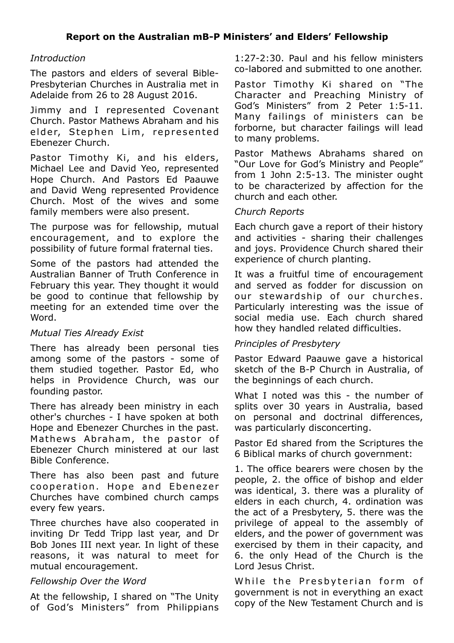#### *Introduction*

The pastors and elders of several Bible-Presbyterian Churches in Australia met in Adelaide from 26 to 28 August 2016.

Jimmy and I represented Covenant Church. Pastor Mathews Abraham and his elder, Stephen Lim, represented Ebenezer Church.

Pastor Timothy Ki, and his elders, Michael Lee and David Yeo, represented Hope Church. And Pastors Ed Paauwe and David Weng represented Providence Church. Most of the wives and some family members were also present.

The purpose was for fellowship, mutual encouragement, and to explore the possibility of future formal fraternal ties.

Some of the pastors had attended the Australian Banner of Truth Conference in February this year. They thought it would be good to continue that fellowship by meeting for an extended time over the Word.

#### *Mutual Ties Already Exist*

There has already been personal ties among some of the pastors - some of them studied together. Pastor Ed, who helps in Providence Church, was our founding pastor.

There has already been ministry in each other's churches - I have spoken at both Hope and Ebenezer Churches in the past. Mathews Abraham, the pastor of Ebenezer Church ministered at our last Bible Conference.

There has also been past and future cooperation. Hope and Ebenezer Churches have combined church camps every few years.

Three churches have also cooperated in inviting Dr Tedd Tripp last year, and Dr Bob Jones III next year. In light of these reasons, it was natural to meet for mutual encouragement.

#### *Fellowship Over the Word*

At the fellowship, I shared on "The Unity of God's Ministers" from Philippians 1:27-2:30. Paul and his fellow ministers co-labored and submitted to one another.

Pastor Timothy Ki shared on "The Character and Preaching Ministry of God's Ministers" from 2 Peter 1:5-11. Many failings of ministers can be forborne, but character failings will lead to many problems.

Pastor Mathews Abrahams shared on "Our Love for God's Ministry and People" from 1 John 2:5-13. The minister ought to be characterized by affection for the church and each other.

#### *Church Reports*

Each church gave a report of their history and activities - sharing their challenges and joys. Providence Church shared their experience of church planting.

It was a fruitful time of encouragement and served as fodder for discussion on our stewardship of our churches. Particularly interesting was the issue of social media use. Each church shared how they handled related difficulties.

#### *Principles of Presbytery*

Pastor Edward Paauwe gave a historical sketch of the B-P Church in Australia, of the beginnings of each church.

What I noted was this - the number of splits over 30 years in Australia, based on personal and doctrinal differences, was particularly disconcerting.

Pastor Ed shared from the Scriptures the 6 Biblical marks of church government:

1. The office bearers were chosen by the people, 2. the office of bishop and elder was identical, 3. there was a plurality of elders in each church, 4. ordination was the act of a Presbytery, 5. there was the privilege of appeal to the assembly of elders, and the power of government was exercised by them in their capacity, and 6. the only Head of the Church is the Lord Jesus Christ.

While the Presbyterian form of government is not in everything an exact copy of the New Testament Church and is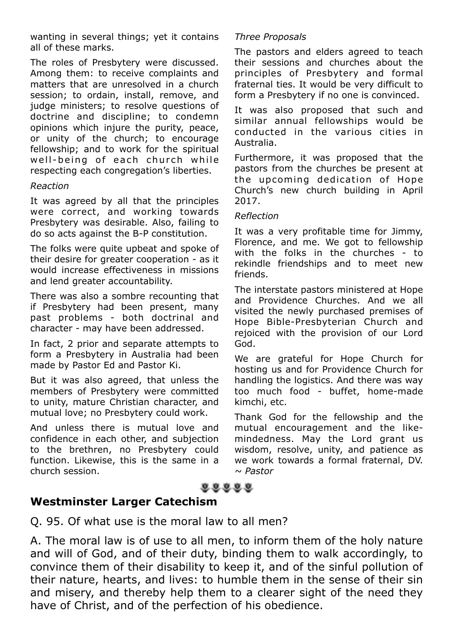wanting in several things; yet it contains all of these marks.

The roles of Presbytery were discussed. Among them: to receive complaints and matters that are unresolved in a church session; to ordain, install, remove, and judge ministers; to resolve questions of doctrine and discipline; to condemn opinions which injure the purity, peace, or unity of the church; to encourage fellowship; and to work for the spiritual well-being of each church while respecting each congregation's liberties.

#### *Reaction*

It was agreed by all that the principles were correct, and working towards Presbytery was desirable. Also, failing to do so acts against the B-P constitution.

The folks were quite upbeat and spoke of their desire for greater cooperation - as it would increase effectiveness in missions and lend greater accountability.

There was also a sombre recounting that if Presbytery had been present, many past problems - both doctrinal and character - may have been addressed.

In fact, 2 prior and separate attempts to form a Presbytery in Australia had been made by Pastor Ed and Pastor Ki.

But it was also agreed, that unless the members of Presbytery were committed to unity, mature Christian character, and mutual love; no Presbytery could work.

And unless there is mutual love and confidence in each other, and subjection to the brethren, no Presbytery could function. Likewise, this is the same in a church session.

#### *Three Proposals*

The pastors and elders agreed to teach their sessions and churches about the principles of Presbytery and formal fraternal ties. It would be very difficult to form a Presbytery if no one is convinced.

It was also proposed that such and similar annual fellowships would be conducted in the various cities in Australia.

Furthermore, it was proposed that the pastors from the churches be present at the upcoming dedication of Hope Church's new church building in April 2017.

#### *Reflection*

It was a very profitable time for Jimmy, Florence, and me. We got to fellowship with the folks in the churches - to rekindle friendships and to meet new friends.

The interstate pastors ministered at Hope and Providence Churches. And we all visited the newly purchased premises of Hope Bible-Presbyterian Church and rejoiced with the provision of our Lord God.

We are grateful for Hope Church for hosting us and for Providence Church for handling the logistics. And there was way too much food - buffet, home-made kimchi, etc.

Thank God for the fellowship and the mutual encouragement and the likemindedness. May the Lord grant us wisdom, resolve, unity, and patience as we work towards a formal fraternal, DV. *~ Pastor*

### $0.0000$

#### **Westminster Larger Catechism**

Q. 95. Of what use is the moral law to all men?

A. The moral law is of use to all men, to inform them of the holy nature and will of God, and of their duty, binding them to walk accordingly, to convince them of their disability to keep it, and of the sinful pollution of their nature, hearts, and lives: to humble them in the sense of their sin and misery, and thereby help them to a clearer sight of the need they have of Christ, and of the perfection of his obedience.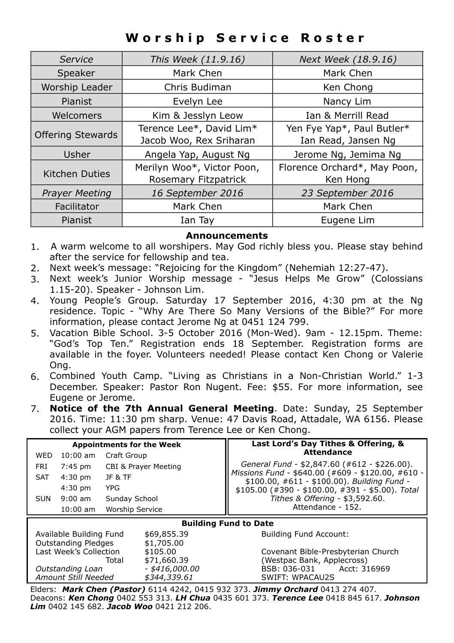# **Worship Service Roster**

| Service                  | This Week (11.9.16)        | Next Week (18.9.16)          |
|--------------------------|----------------------------|------------------------------|
| Speaker                  | Mark Chen                  | Mark Chen                    |
| Worship Leader           | Chris Budiman              | Ken Chong                    |
| Pianist                  | Evelyn Lee                 | Nancy Lim                    |
| Welcomers                | Kim & Jesslyn Leow         | Ian & Merrill Read           |
| <b>Offering Stewards</b> | Terence Lee*, David Lim*   | Yen Fye Yap*, Paul Butler*   |
|                          | Jacob Woo, Rex Sriharan    | Ian Read, Jansen Ng          |
| Usher                    | Angela Yap, August Ng      | Jerome Ng, Jemima Ng         |
| <b>Kitchen Duties</b>    | Merilyn Woo*, Victor Poon, | Florence Orchard*, May Poon, |
|                          | Rosemary Fitzpatrick       | Ken Hong                     |
| <b>Prayer Meeting</b>    | 16 September 2016          | 23 September 2016            |
| Facilitator              | Mark Chen                  | Mark Chen                    |
| Pianist                  | Ian Tay                    | Eugene Lim                   |

#### **Announcements**

- 1. A warm welcome to all worshipers. May God richly bless you. Please stay behind after the service for fellowship and tea.
- 2. Next week's message: "Rejoicing for the Kingdom" (Nehemiah 12:27-47).
- 3. Next week's Junior Worship message "Jesus Helps Me Grow" (Colossians 1.15-20). Speaker - Johnson Lim.
- 4. Young People's Group. Saturday 17 September 2016, 4:30 pm at the Ng residence. Topic - "Why Are There So Many Versions of the Bible?" For more information, please contact Jerome Ng at 0451 124 799.
- 5. Vacation Bible School. 3-5 October 2016 (Mon-Wed). 9am 12.15pm. Theme: "God's Top Ten." Registration ends 18 September. Registration forms are available in the foyer. Volunteers needed! Please contact Ken Chong or Valerie Ong.
- 6. Combined Youth Camp. "Living as Christians in a Non-Christian World." 1-3 December. Speaker: Pastor Ron Nugent. Fee: \$55. For more information, see Eugene or Jerome.
- 7. **Notice of the 7th Annual General Meeting**. Date: Sunday, 25 September 2016. Time: 11:30 pm sharp. Venue: 47 Davis Road, Attadale, WA 6156. Please collect your AGM papers from Terence Lee or Ken Chong.

| <b>Appointments for the Week</b>                         |                        |                  | Last Lord's Day Tithes & Offering, &<br><b>Attendance</b>                                        |
|----------------------------------------------------------|------------------------|------------------|--------------------------------------------------------------------------------------------------|
| WED<br>$10:00$ am                                        | Craft Group            |                  |                                                                                                  |
| <b>FRI</b><br>7:45 pm<br><b>CBI &amp; Prayer Meeting</b> |                        |                  | General Fund - \$2,847.60 (#612 - \$226.00).                                                     |
| <b>SAT</b><br>$4:30$ pm                                  | JF&TF                  |                  | Missions Fund - \$640.00 (#609 - \$120.00, #610 -<br>\$100.00, #611 - \$100.00). Building Fund - |
| $4:30$ pm                                                | YPG                    |                  | $$105.00$ (#390 - \$100.00, #391 - \$5.00). Total                                                |
| $9:00$ am<br><b>SUN</b>                                  | Sunday School          |                  | Tithes & Offering - \$3,592.60.                                                                  |
| $10:00$ am                                               | <b>Worship Service</b> |                  | Attendance - 152.                                                                                |
|                                                          |                        |                  |                                                                                                  |
|                                                          |                        |                  | <b>Building Fund to Date</b>                                                                     |
| Available Building Fund                                  |                        | \$69,855.39      | <b>Building Fund Account:</b>                                                                    |
| <b>Outstanding Pledges</b>                               |                        | \$1,705.00       |                                                                                                  |
| Last Week's Collection                                   |                        | \$105.00         | Covenant Bible-Presbyterian Church                                                               |
|                                                          | Total                  | \$71,660.39      | (Westpac Bank, Applecross)                                                                       |
| Outstanding Loan                                         |                        | $-$ \$416,000,00 | BSB: 036-031<br>Acct: 316969                                                                     |
| Amount Still Needed                                      |                        | \$344,339.61     | <b>SWIFT: WPACAU2S</b>                                                                           |

Deacons: *Ken Chong* 0402 553 313. *LH Chua* 0435 601 373. *Terence Lee* 0418 845 617. *Johnson Lim* 0402 145 682. *Jacob Woo* 0421 212 206.